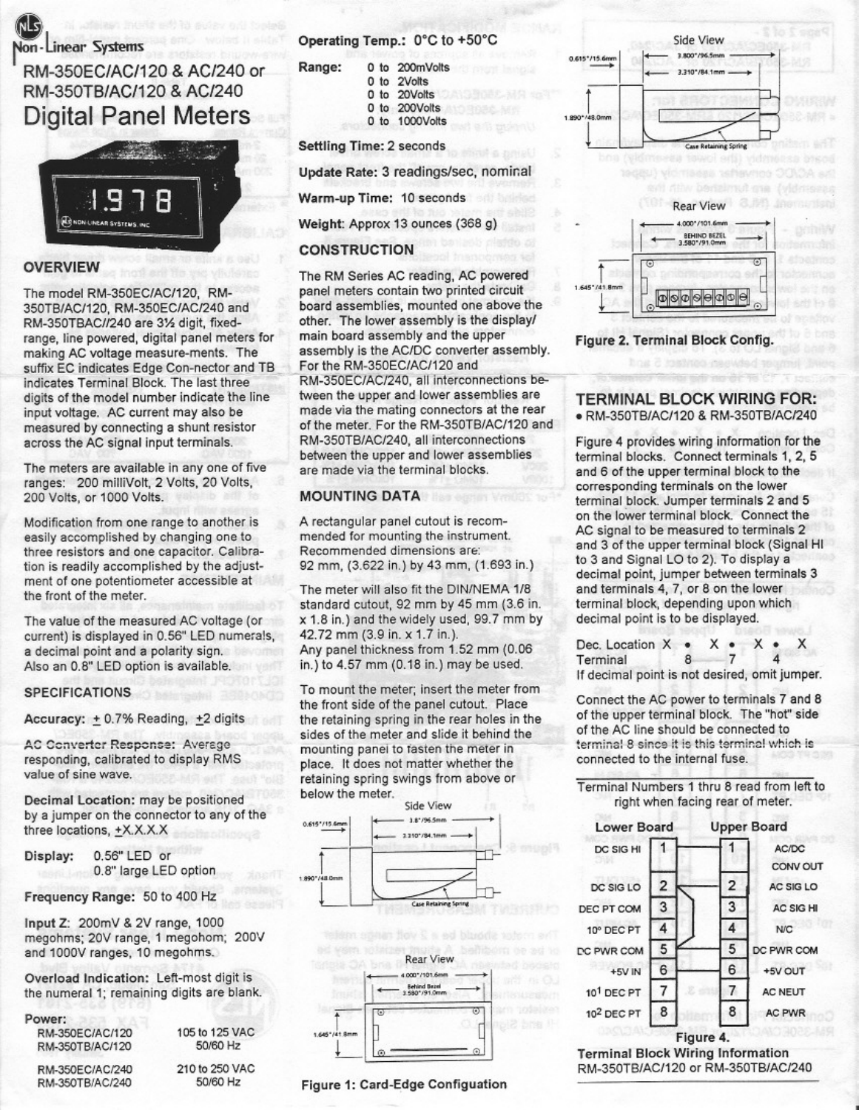

# RM-350EC/AC/120 & AC/240 or RM-350TB/AC/120 & AC/240 **Digital Panel Meters**



### **OVERVIEW**

The model RM-350EC/AC/120. RM-350TB/AC/120, RM-350EC/AC/240 and RM-350TBAC//240 are 31/2 digit, fixedrange, line powered, digital panel meters for making AC voltage measure-ments. The suffix EC indicates Edge Con-nector and TB indicates Terminal Block. The last three digits of the model number indicate the line input voltage. AC current may also be measured by connecting a shunt resistor across the AC signal input terminals.

The meters are available in any one of five ranges: 200 milliVolt, 2 Volts, 20 Volts, 200 Volts, or 1000 Volts.

Modification from one range to another is easily accomplished by changing one to three resistors and one capacitor. Calibration is readily accomplished by the adjustment of one potentiometer accessible at the front of the meter.

The value of the measured AC voltage (or current) is displayed in 0.56" LED numerals, a decimal point and a polarity sign. Also an 0.8" LED option is available.

#### **SPECIFICATIONS**

Accuracy: + 0.7% Reading, +2 digits

**AC Converter Response: Average** responding, calibrated to display RMS value of sine wave.

Decimal Location: may be positioned by a jumper on the connector to any of the three locations, +X.X.X.X

0.56" LED or Display: 0.8" large LED option

Frequency Range: 50 to 400 Hz

Input Z: 200mV & 2V range, 1000 megohms; 20V range, 1 megohom; 200V and 1000V ranges, 10 megohms.

Overload Indication: Left-most digit is the numeral 1; remaining digits are blank.

## Power:

RM-350EC/AC/120 RM-350TB/AC/120

105 to 125 VAC 50/60 Hz

Operating Temp.: 0°C to +50°C

| Range: | 0 to 200mVolts |
|--------|----------------|
|        | 0 to 2Volts    |
|        | 0 to 20Volts   |
|        | 0 to 200Volts  |
|        | 0 to 1000Volts |

#### **Settling Time: 2 seconds**

Update Rate: 3 readings/sec, nominal

Warm-up Time: 10 seconds

Weight: Approx 13 ounces (368 g)

### **CONSTRUCTION**

The RM Series AC reading, AC powered panel meters contain two printed circuit board assemblies, mounted one above the other. The lower assembly is the display/ main board assembly and the upper assembly is the AC/DC converter assembly. For the RM-350EC/AC/120 and RM-350EC/AC/240, all interconnections between the upper and lower assemblies are made via the mating connectors at the rear of the meter. For the RM-350TB/AC/120 and RM-350TB/AC/240, all interconnections between the upper and lower assemblies are made via the terminal blocks.

#### **MOUNTING DATA**

A rectangular panel cutout is recommended for mounting the instrument. Recommended dimensions are: 92 mm, (3.622 in.) by 43 mm, (1.693 in.)

The meter will also fit the DIN/NEMA 1/8 standard cutout, 92 mm by 45 mm (3.6 in. x 1.8 in.) and the widely used, 99.7 mm by 42.72 mm (3.9 in. x 1.7 in.). Any panel thickness from 1.52 mm (0.06 in.) to 4.57 mm (0.18 in.) may be used.

To mount the meter; insert the meter from the front side of the panel cutout. Place the retaining spring in the rear holes in the sides of the meter and slide it behind the mounting panel to fasten the meter in place. It does not matter whether the retaining spring swings from above or below the meter.





Figure 1: Card-Edge Configuation





Figure 2. Terminal Block Config.

#### **TERMINAL BLOCK WIRING FOR:** · RM-350TB/AC/120 & RM-350TB/AC/240

Figure 4 provides wiring information for the terminal blocks. Connect terminals 1, 2, 5 and 6 of the upper terminal block to the corresponding terminals on the lower terminal block. Jumper terminals 2 and 5 on the lower terminal block. Connect the AC signal to be measured to terminals 2 and 3 of the upper terminal block (Signal HI to 3 and Signal LO to 2). To display a decimal point, jumper between terminals 3 and terminals 4, 7, or 8 on the lower terminal block, depending upon which decimal point is to be displayed.

Dec. Location  $X$   $\bullet$  $x \bullet$  $\overline{7}$ Terminal 8 If decimal point is not desired, omit jumper.

Connect the AC power to terminals 7 and 8 of the upper terminal block. The "hot" side of the AC line should be connected to terminal 8 since it is this terminal which is connected to the internal fuse.

#### Terminal Numbers 1 thru 8 read from left to right when facing rear of meter.



RM-350TB/AC/120 or RM-350TB/AC/240

RM-350EC/AC/240 RM-350TB/AC/240

210 to 250 VAC 50/60 Hz